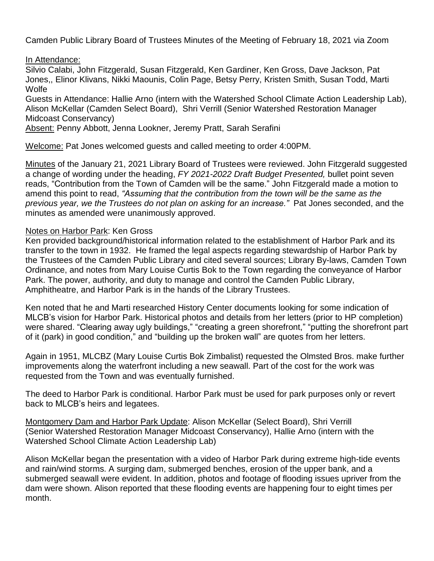Camden Public Library Board of Trustees Minutes of the Meeting of February 18, 2021 via Zoom

## In Attendance:

Silvio Calabi, John Fitzgerald, Susan Fitzgerald, Ken Gardiner, Ken Gross, Dave Jackson, Pat Jones,, Elinor Klivans, Nikki Maounis, Colin Page, Betsy Perry, Kristen Smith, Susan Todd, Marti **Wolfe** 

Guests in Attendance: Hallie Arno (intern with the Watershed School Climate Action Leadership Lab), Alison McKellar (Camden Select Board), Shri Verrill (Senior Watershed Restoration Manager Midcoast Conservancy)

Absent: Penny Abbott, Jenna Lookner, Jeremy Pratt, Sarah Serafini

Welcome: Pat Jones welcomed guests and called meeting to order 4:00PM.

Minutes of the January 21, 2021 Library Board of Trustees were reviewed. John Fitzgerald suggested a change of wording under the heading, *FY 2021-2022 Draft Budget Presented,* bullet point seven reads, "Contribution from the Town of Camden will be the same." John Fitzgerald made a motion to amend this point to read, *"Assuming that the contribution from the town will be the same as the previous year, we the Trustees do not plan on asking for an increase."* Pat Jones seconded, and the minutes as amended were unanimously approved.

## Notes on Harbor Park: Ken Gross

Ken provided background/historical information related to the establishment of Harbor Park and its transfer to the town in 1932. He framed the legal aspects regarding stewardship of Harbor Park by the Trustees of the Camden Public Library and cited several sources; Library By-laws, Camden Town Ordinance, and notes from Mary Louise Curtis Bok to the Town regarding the conveyance of Harbor Park. The power, authority, and duty to manage and control the Camden Public Library, Amphitheatre, and Harbor Park is in the hands of the Library Trustees.

Ken noted that he and Marti researched History Center documents looking for some indication of MLCB's vision for Harbor Park. Historical photos and details from her letters (prior to HP completion) were shared. "Clearing away ugly buildings," "creating a green shorefront," "putting the shorefront part of it (park) in good condition," and "building up the broken wall" are quotes from her letters.

Again in 1951, MLCBZ (Mary Louise Curtis Bok Zimbalist) requested the Olmsted Bros. make further improvements along the waterfront including a new seawall. Part of the cost for the work was requested from the Town and was eventually furnished.

The deed to Harbor Park is conditional. Harbor Park must be used for park purposes only or revert back to MLCB's heirs and legatees.

Montgomery Dam and Harbor Park Update: Alison McKellar (Select Board), Shri Verrill (Senior Watershed Restoration Manager Midcoast Conservancy), Hallie Arno (intern with the Watershed School Climate Action Leadership Lab)

Alison McKellar began the presentation with a video of Harbor Park during extreme high-tide events and rain/wind storms. A surging dam, submerged benches, erosion of the upper bank, and a submerged seawall were evident. In addition, photos and footage of flooding issues upriver from the dam were shown. Alison reported that these flooding events are happening four to eight times per month.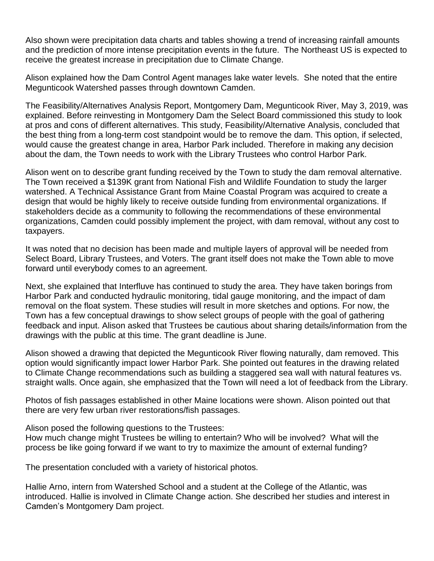Also shown were precipitation data charts and tables showing a trend of increasing rainfall amounts and the prediction of more intense precipitation events in the future. The Northeast US is expected to receive the greatest increase in precipitation due to Climate Change.

Alison explained how the Dam Control Agent manages lake water levels. She noted that the entire Megunticook Watershed passes through downtown Camden.

The Feasibility/Alternatives Analysis Report, Montgomery Dam, Megunticook River, May 3, 2019, was explained. Before reinvesting in Montgomery Dam the Select Board commissioned this study to look at pros and cons of different alternatives. This study, Feasibility/Alternative Analysis, concluded that the best thing from a long-term cost standpoint would be to remove the dam. This option, if selected, would cause the greatest change in area, Harbor Park included. Therefore in making any decision about the dam, the Town needs to work with the Library Trustees who control Harbor Park.

Alison went on to describe grant funding received by the Town to study the dam removal alternative. The Town received a \$139K grant from National Fish and Wildlife Foundation to study the larger watershed. A Technical Assistance Grant from Maine Coastal Program was acquired to create a design that would be highly likely to receive outside funding from environmental organizations. If stakeholders decide as a community to following the recommendations of these environmental organizations, Camden could possibly implement the project, with dam removal, without any cost to taxpayers.

It was noted that no decision has been made and multiple layers of approval will be needed from Select Board, Library Trustees, and Voters. The grant itself does not make the Town able to move forward until everybody comes to an agreement.

Next, she explained that Interfluve has continued to study the area. They have taken borings from Harbor Park and conducted hydraulic monitoring, tidal gauge monitoring, and the impact of dam removal on the float system. These studies will result in more sketches and options. For now, the Town has a few conceptual drawings to show select groups of people with the goal of gathering feedback and input. Alison asked that Trustees be cautious about sharing details/information from the drawings with the public at this time. The grant deadline is June.

Alison showed a drawing that depicted the Megunticook River flowing naturally, dam removed. This option would significantly impact lower Harbor Park. She pointed out features in the drawing related to Climate Change recommendations such as building a staggered sea wall with natural features vs. straight walls. Once again, she emphasized that the Town will need a lot of feedback from the Library.

Photos of fish passages established in other Maine locations were shown. Alison pointed out that there are very few urban river restorations/fish passages.

Alison posed the following questions to the Trustees:

How much change might Trustees be willing to entertain? Who will be involved? What will the process be like going forward if we want to try to maximize the amount of external funding?

The presentation concluded with a variety of historical photos.

Hallie Arno, intern from Watershed School and a student at the College of the Atlantic, was introduced. Hallie is involved in Climate Change action. She described her studies and interest in Camden's Montgomery Dam project.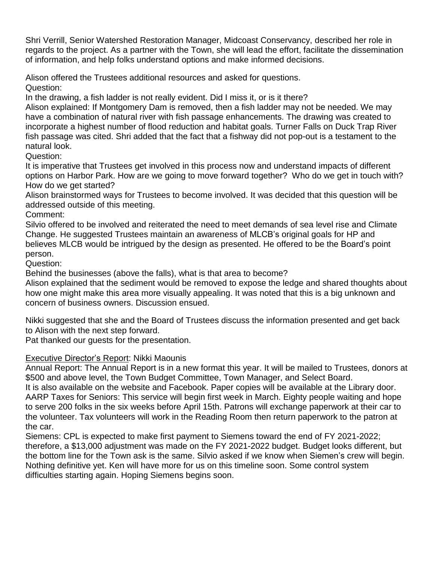Shri Verrill, Senior Watershed Restoration Manager, Midcoast Conservancy, described her role in regards to the project. As a partner with the Town, she will lead the effort, facilitate the dissemination of information, and help folks understand options and make informed decisions.

Alison offered the Trustees additional resources and asked for questions. Question:

In the drawing, a fish ladder is not really evident. Did I miss it, or is it there?

Alison explained: If Montgomery Dam is removed, then a fish ladder may not be needed. We may have a combination of natural river with fish passage enhancements. The drawing was created to incorporate a highest number of flood reduction and habitat goals. Turner Falls on Duck Trap River fish passage was cited. Shri added that the fact that a fishway did not pop-out is a testament to the natural look.

Question:

It is imperative that Trustees get involved in this process now and understand impacts of different options on Harbor Park. How are we going to move forward together? Who do we get in touch with? How do we get started?

Alison brainstormed ways for Trustees to become involved. It was decided that this question will be addressed outside of this meeting.

Comment:

Silvio offered to be involved and reiterated the need to meet demands of sea level rise and Climate Change. He suggested Trustees maintain an awareness of MLCB's original goals for HP and believes MLCB would be intrigued by the design as presented. He offered to be the Board's point person.

Question:

Behind the businesses (above the falls), what is that area to become?

Alison explained that the sediment would be removed to expose the ledge and shared thoughts about how one might make this area more visually appealing. It was noted that this is a big unknown and concern of business owners. Discussion ensued.

Nikki suggested that she and the Board of Trustees discuss the information presented and get back to Alison with the next step forward.

Pat thanked our guests for the presentation.

## Executive Director's Report: Nikki Maounis

Annual Report: The Annual Report is in a new format this year. It will be mailed to Trustees, donors at \$500 and above level, the Town Budget Committee, Town Manager, and Select Board.

It is also available on the website and Facebook. Paper copies will be available at the Library door. AARP Taxes for Seniors: This service will begin first week in March. Eighty people waiting and hope to serve 200 folks in the six weeks before April 15th. Patrons will exchange paperwork at their car to the volunteer. Tax volunteers will work in the Reading Room then return paperwork to the patron at the car.

Siemens: CPL is expected to make first payment to Siemens toward the end of FY 2021-2022; therefore, a \$13,000 adjustment was made on the FY 2021-2022 budget. Budget looks different, but the bottom line for the Town ask is the same. Silvio asked if we know when Siemen's crew will begin. Nothing definitive yet. Ken will have more for us on this timeline soon. Some control system difficulties starting again. Hoping Siemens begins soon.